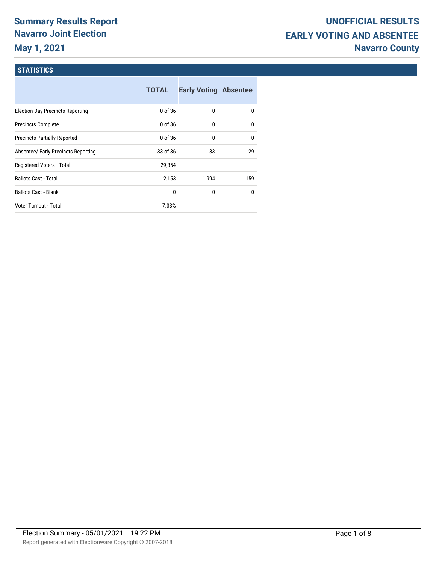# **Summary Results Report Navarro Joint Election May 1, 2021**

### **STATISTICS**

|                                         | <b>TOTAL</b> | <b>Early Voting Absentee</b> |              |
|-----------------------------------------|--------------|------------------------------|--------------|
| <b>Election Day Precincts Reporting</b> | 0 of 36      | 0                            | $\mathbf{0}$ |
| <b>Precincts Complete</b>               | 0 of 36      | 0                            | 0            |
| <b>Precincts Partially Reported</b>     | 0 of 36      | 0                            | $\mathbf{0}$ |
| Absentee/ Early Precincts Reporting     | 33 of 36     | 33                           | 29           |
| Registered Voters - Total               | 29,354       |                              |              |
| <b>Ballots Cast - Total</b>             | 2,153        | 1,994                        | 159          |
| <b>Ballots Cast - Blank</b>             | 0            | 0                            | 0            |
| <b>Voter Turnout - Total</b>            | 7.33%        |                              |              |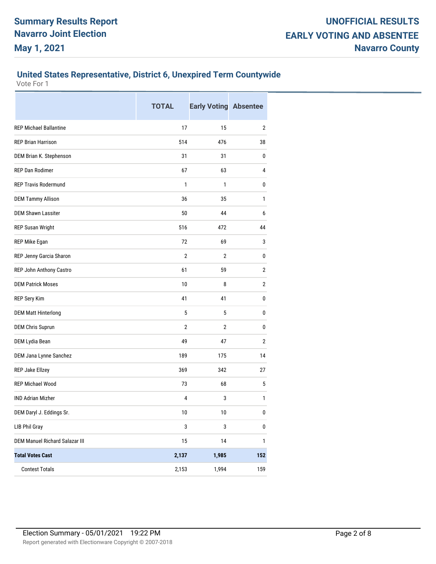#### **United States Representative, District 6, Unexpired Term Countywide**

|                                       | <b>TOTAL</b>   | <b>Early Voting Absentee</b> |              |
|---------------------------------------|----------------|------------------------------|--------------|
| <b>REP Michael Ballantine</b>         | 17             | 15                           | 2            |
| <b>REP Brian Harrison</b>             | 514            | 476                          | 38           |
| DEM Brian K. Stephenson               | 31             | 31                           | 0            |
| <b>REP Dan Rodimer</b>                | 67             | 63                           | 4            |
| <b>REP Travis Rodermund</b>           | 1              | 1                            | 0            |
| <b>DEM Tammy Allison</b>              | 36             | 35                           | 1            |
| <b>DEM Shawn Lassiter</b>             | 50             | 44                           | 6            |
| <b>REP Susan Wright</b>               | 516            | 472                          | 44           |
| REP Mike Egan                         | 72             | 69                           | 3            |
| REP Jenny Garcia Sharon               | $\overline{2}$ | $\overline{2}$               | 0            |
| REP John Anthony Castro               | 61             | 59                           | $\mathbf{2}$ |
| <b>DEM Patrick Moses</b>              | 10             | 8                            | $\mathbf{2}$ |
| REP Sery Kim                          | 41             | 41                           | 0            |
| <b>DEM Matt Hinterlong</b>            | 5              | 5                            | 0            |
| <b>DEM Chris Suprun</b>               | $\overline{2}$ | $\overline{2}$               | 0            |
| DEM Lydia Bean                        | 49             | 47                           | $\mathbf{2}$ |
| DEM Jana Lynne Sanchez                | 189            | 175                          | 14           |
| REP Jake Ellzey                       | 369            | 342                          | 27           |
| <b>REP Michael Wood</b>               | 73             | 68                           | 5            |
| <b>IND Adrian Mizher</b>              | 4              | 3                            | 1            |
| DEM Daryl J. Eddings Sr.              | 10             | 10                           | 0            |
| <b>LIB Phil Gray</b>                  | $\sqrt{3}$     | $\mathbf 3$                  | $\pmb{0}$    |
| <b>DEM Manuel Richard Salazar III</b> | 15             | 14                           | $\mathbf{1}$ |
| <b>Total Votes Cast</b>               | 2,137          | 1,985                        | 152          |
| <b>Contest Totals</b>                 | 2,153          | 1,994                        | 159          |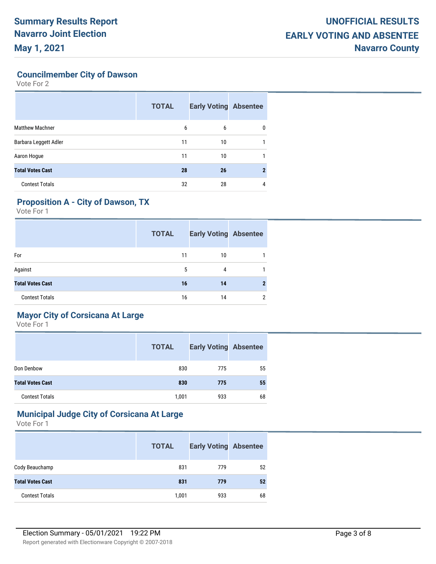**Councilmember City of Dawson**

Vote For 2

|                         | <b>TOTAL</b> | <b>Early Voting Absentee</b> |              |
|-------------------------|--------------|------------------------------|--------------|
| <b>Matthew Machner</b>  | 6            | 6                            | 0            |
| Barbara Leggett Adler   | 11           | 10                           |              |
| Aaron Hogue             | 11           | 10                           |              |
| <b>Total Votes Cast</b> | 28           | 26                           | $\mathbf{2}$ |
| <b>Contest Totals</b>   | 32           | 28                           | 4            |

# **Proposition A - City of Dawson, TX**

Vote For 1

|                         | <b>TOTAL</b> | <b>Early Voting Absentee</b> |   |
|-------------------------|--------------|------------------------------|---|
| For                     | 11           | 10                           |   |
| Against                 | 5            | 4                            |   |
| <b>Total Votes Cast</b> | 16           | 14                           |   |
| <b>Contest Totals</b>   | 16           | 14                           | 2 |

# **Mayor City of Corsicana At Large**

Vote For 1

|                         | <b>TOTAL</b> | <b>Early Voting Absentee</b> |    |
|-------------------------|--------------|------------------------------|----|
| Don Denbow              | 830          | 775                          | 55 |
| <b>Total Votes Cast</b> | 830          | 775                          | 55 |
| <b>Contest Totals</b>   | 1,001        | 933                          | 68 |

### **Municipal Judge City of Corsicana At Large**

|                         | <b>TOTAL</b> | <b>Early Voting Absentee</b> |    |
|-------------------------|--------------|------------------------------|----|
| Cody Beauchamp          | 831          | 779                          | 52 |
| <b>Total Votes Cast</b> | 831          | 779                          | 52 |
| <b>Contest Totals</b>   | 1,001        | 933                          | 68 |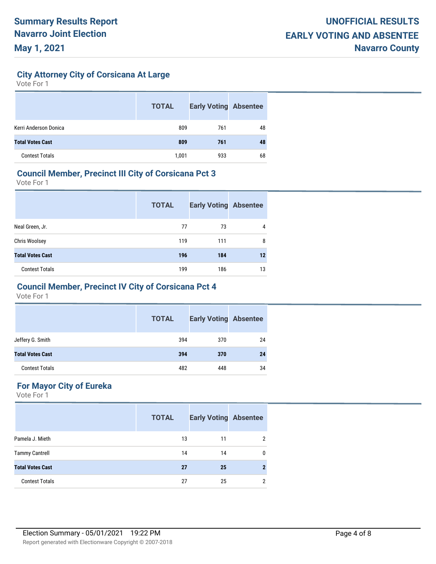**City Attorney City of Corsicana At Large**

Vote For 1

|                         | <b>TOTAL</b> | <b>Early Voting Absentee</b> |    |
|-------------------------|--------------|------------------------------|----|
| Kerri Anderson Donica   | 809          | 761                          | 48 |
| <b>Total Votes Cast</b> | 809          | 761                          | 48 |
| <b>Contest Totals</b>   | 1,001        | 933                          | 68 |

#### **Council Member, Precinct III City of Corsicana Pct 3**

Vote For 1

|                         | <b>TOTAL</b> | <b>Early Voting Absentee</b> |         |
|-------------------------|--------------|------------------------------|---------|
| Neal Green, Jr.         | 77           | 73                           | 4       |
| Chris Woolsey           | 119          | 111                          | 8       |
| <b>Total Votes Cast</b> | 196          | 184                          | $12 \,$ |
| <b>Contest Totals</b>   | 199          | 186                          | 13      |

### **Council Member, Precinct IV City of Corsicana Pct 4**

Vote For 1

|                         | <b>TOTAL</b> | <b>Early Voting Absentee</b> |    |
|-------------------------|--------------|------------------------------|----|
| Jeffery G. Smith        | 394          | 370                          | 24 |
| <b>Total Votes Cast</b> | 394          | 370                          | 24 |
| <b>Contest Totals</b>   | 482          | 448                          | 34 |

# **For Mayor City of Eureka**

|                         | <b>TOTAL</b> | <b>Early Voting Absentee</b> |                |
|-------------------------|--------------|------------------------------|----------------|
| Pamela J. Mieth         | 13           | 11                           | $\overline{2}$ |
| <b>Tammy Cantrell</b>   | 14           | 14                           | 0              |
| <b>Total Votes Cast</b> | 27           | 25                           | $\mathbf{2}$   |
| <b>Contest Totals</b>   | 27           | 25                           | 2              |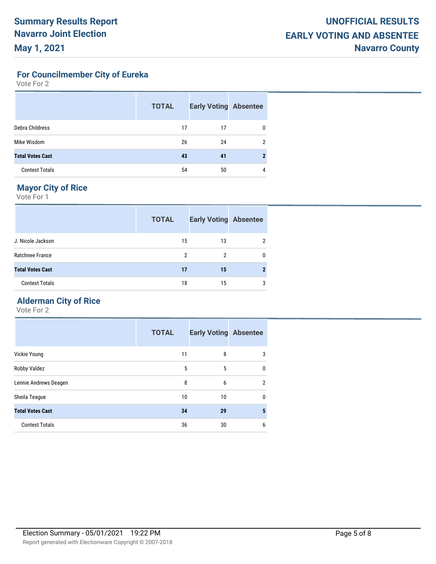**For Councilmember City of Eureka**

Vote For 2

|                         | <b>TOTAL</b> | <b>Early Voting Absentee</b> |   |
|-------------------------|--------------|------------------------------|---|
| Debra Childress         | 17           | 17                           | 0 |
| Mike Wisdom             | 26           | 24                           | 2 |
| <b>Total Votes Cast</b> | 43           | 41                           |   |
| <b>Contest Totals</b>   | 54           | 50                           | 4 |

# **Mayor City of Rice**

Vote For 1

|                         | <b>TOTAL</b> | <b>Early Voting Absentee</b> |   |
|-------------------------|--------------|------------------------------|---|
| J. Nicole Jackson       | 15           | 13                           | 2 |
| Ratchnee France         | 2            | 2                            | 0 |
| <b>Total Votes Cast</b> | 17           | 15                           | 2 |
| <b>Contest Totals</b>   | 18           | 15                           | 3 |

# **Alderman City of Rice**

|                         | <b>TOTAL</b> | <b>Early Voting Absentee</b> |              |
|-------------------------|--------------|------------------------------|--------------|
| Vickie Young            | 11           | 8                            | 3            |
| Robby Valdez            | 5            | 5                            | $\mathbf{0}$ |
| Lennie Andrews Deagen   | 8            | 6                            | 2            |
| Sheila Teague           | 10           | 10                           | $\mathbf{0}$ |
| <b>Total Votes Cast</b> | 34           | 29                           | 5            |
| <b>Contest Totals</b>   | 36           | 30                           | 6            |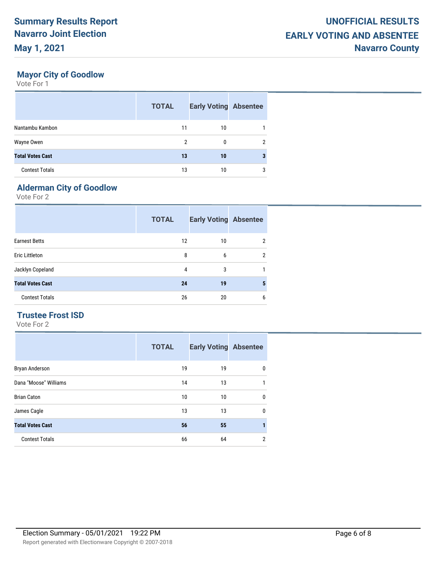# **Mayor City of Goodlow**

Vote For 1

|                         | <b>TOTAL</b> | <b>Early Voting Absentee</b> |   |
|-------------------------|--------------|------------------------------|---|
| Nantambu Kambon         | 11           | 10                           |   |
| Wayne Owen              | 2            | 0                            | 2 |
| <b>Total Votes Cast</b> | 13           | 10                           |   |
| <b>Contest Totals</b>   | 13           | 10                           | 3 |

# **Alderman City of Goodlow**

Vote For 2

|                         | <b>TOTAL</b> | <b>Early Voting Absentee</b> |                |
|-------------------------|--------------|------------------------------|----------------|
| <b>Earnest Betts</b>    | 12           | 10                           | $\overline{2}$ |
| <b>Eric Littleton</b>   | 8            | 6                            | $\overline{2}$ |
| Jacklyn Copeland        | 4            | 3                            |                |
| <b>Total Votes Cast</b> | 24           | 19                           | 5              |
| <b>Contest Totals</b>   | 26           | 20                           | 6              |

#### **Trustee Frost ISD**

|                         | <b>TOTAL</b> | <b>Early Voting Absentee</b> |                |
|-------------------------|--------------|------------------------------|----------------|
| Bryan Anderson          | 19           | 19                           | 0              |
| Dana "Moose" Williams   | 14           | 13                           | 1              |
| <b>Brian Caton</b>      | 10           | 10                           | 0              |
| James Cagle             | 13           | 13                           | 0              |
| <b>Total Votes Cast</b> | 56           | 55                           |                |
| <b>Contest Totals</b>   | 66           | 64                           | $\overline{2}$ |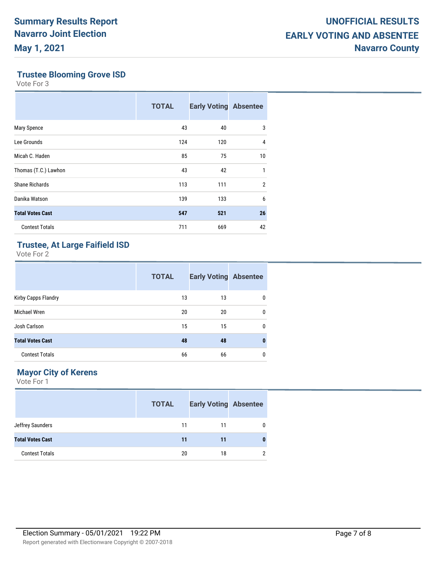### **Trustee Blooming Grove ISD**

Vote For 3

|                         | <b>TOTAL</b> | <b>Early Voting Absentee</b> |                |
|-------------------------|--------------|------------------------------|----------------|
| Mary Spence             | 43           | 40                           | 3              |
| Lee Grounds             | 124          | 120                          | 4              |
| Micah C. Haden          | 85           | 75                           | 10             |
| Thomas (T.C.) Lawhon    | 43           | 42                           | 1              |
| Shane Richards          | 113          | 111                          | $\overline{2}$ |
| Danika Watson           | 139          | 133                          | 6              |
| <b>Total Votes Cast</b> | 547          | 521                          | 26             |
| <b>Contest Totals</b>   | 711          | 669                          | 42             |

# **Trustee, At Large Faifield ISD**

Vote For 2

|                         | <b>TOTAL</b> | <b>Early Voting Absentee</b> |   |
|-------------------------|--------------|------------------------------|---|
| Kirby Capps Flandry     | 13           | 13                           | 0 |
| Michael Wren            | 20           | 20                           | 0 |
| Josh Carlson            | 15           | 15                           | 0 |
| <b>Total Votes Cast</b> | 48           | 48                           | 0 |
| <b>Contest Totals</b>   | 66           | 66                           | 0 |

### **Mayor City of Kerens**

|                         | <b>TOTAL</b> | <b>Early Voting Absentee</b> |               |
|-------------------------|--------------|------------------------------|---------------|
| Jeffrey Saunders        | 11           | 11                           | $\mathbf{0}$  |
| <b>Total Votes Cast</b> | 11           | 11                           | $\bf{0}$      |
| <b>Contest Totals</b>   | 20           | 18                           | $\mathcal{P}$ |